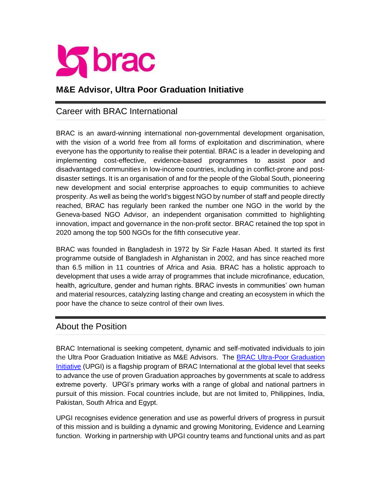

# **M&E Advisor, Ultra Poor Graduation Initiative**

### Career with BRAC International

BRAC is an award-winning international non-governmental development organisation, with the vision of a world free from all forms of exploitation and discrimination, where everyone has the opportunity to realise their potential. BRAC is a leader in developing and implementing cost-effective, evidence-based programmes to assist poor and disadvantaged communities in low-income countries, including in conflict-prone and postdisaster settings. It is an organisation of and for the people of the Global South, pioneering new development and social enterprise approaches to equip communities to achieve prosperity. As well as being the world's biggest NGO by number of staff and people directly reached, BRAC has regularly been ranked the number one NGO in the world by the Geneva-based NGO Advisor, an independent organisation committed to highlighting innovation, impact and governance in the non-profit sector. BRAC retained the top spot in 2020 among the top 500 NGOs for the fifth consecutive year.

BRAC was founded in Bangladesh in 1972 by Sir Fazle Hasan Abed. It started its first programme outside of Bangladesh in Afghanistan in 2002, and has since reached more than 6.5 million in 11 countries of Africa and Asia. BRAC has a holistic approach to development that uses a wide array of programmes that include microfinance, education, health, agriculture, gender and human rights. BRAC invests in communities' own human and material resources, catalyzing lasting change and creating an ecosystem in which the poor have the chance to seize control of their own lives.

### About the Position

BRAC International is seeking competent, dynamic and self-motivated individuals to join the Ultra Poor Graduation Initiative as M&E Advisors. The [BRAC Ultra-Poor Graduation](http://bracultrapoorgraduation.org/)  [Initiative](http://bracultrapoorgraduation.org/) (UPGI) is a flagship program of BRAC International at the global level that seeks to advance the use of proven Graduation approaches by governments at scale to address extreme poverty. UPGI's primary works with a range of global and national partners in pursuit of this mission. Focal countries include, but are not limited to, Philippines, India, Pakistan, South Africa and Egypt.

UPGI recognises evidence generation and use as powerful drivers of progress in pursuit of this mission and is building a dynamic and growing Monitoring, Evidence and Learning function. Working in partnership with UPGI country teams and functional units and as part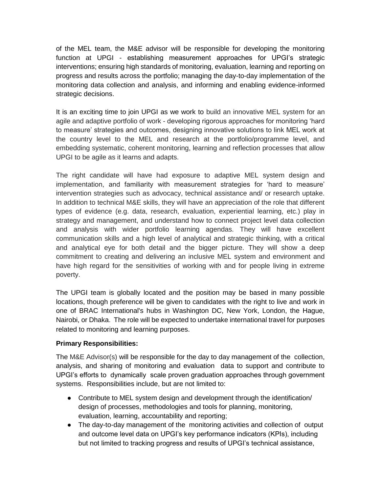of the MEL team, the M&E advisor will be responsible for developing the monitoring function at UPGI - establishing measurement approaches for UPGI's strategic interventions; ensuring high standards of monitoring, evaluation, learning and reporting on progress and results across the portfolio; managing the day-to-day implementation of the monitoring data collection and analysis, and informing and enabling evidence-informed strategic decisions.

It is an exciting time to join UPGI as we work to build an innovative MEL system for an agile and adaptive portfolio of work - developing rigorous approaches for monitoring 'hard to measure' strategies and outcomes, designing innovative solutions to link MEL work at the country level to the MEL and research at the portfolio/programme level, and embedding systematic, coherent monitoring, learning and reflection processes that allow UPGI to be agile as it learns and adapts.

The right candidate will have had exposure to adaptive MEL system design and implementation, and familiarity with measurement strategies for 'hard to measure' intervention strategies such as advocacy, technical assistance and/ or research uptake. In addition to technical M&E skills, they will have an appreciation of the role that different types of evidence (e.g. data, research, evaluation, experiential learning, etc.) play in strategy and management, and understand how to connect project level data collection and analysis with wider portfolio learning agendas. They will have excellent communication skills and a high level of analytical and strategic thinking, with a critical and analytical eye for both detail and the bigger picture. They will show a deep commitment to creating and delivering an inclusive MEL system and environment and have high regard for the sensitivities of working with and for people living in extreme poverty.

The UPGI team is globally located and the position may be based in many possible locations, though preference will be given to candidates with the right to live and work in one of BRAC International's hubs in Washington DC, New York, London, the Hague, Nairobi, or Dhaka. The role will be expected to undertake international travel for purposes related to monitoring and learning purposes.

#### **Primary Responsibilities:**

The M&E Advisor(s) will be responsible for the day to day management of the collection, analysis, and sharing of monitoring and evaluation data to support and contribute to UPGI's efforts to dynamically scale proven graduation approaches through government systems. Responsibilities include, but are not limited to:

- Contribute to MEL system design and development through the identification/ design of processes, methodologies and tools for planning, monitoring, evaluation, learning, accountability and reporting;
- The day-to-day management of the monitoring activities and collection of output and outcome level data on UPGI's key performance indicators (KPIs), including but not limited to tracking progress and results of UPGI's technical assistance,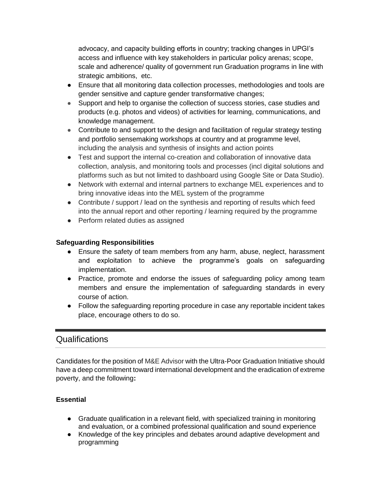advocacy, and capacity building efforts in country; tracking changes in UPGI's access and influence with key stakeholders in particular policy arenas; scope, scale and adherence/ quality of government run Graduation programs in line with strategic ambitions, etc.

- Ensure that all monitoring data collection processes, methodologies and tools are gender sensitive and capture gender transformative changes;
- Support and help to organise the collection of success stories, case studies and products (e.g. photos and videos) of activities for learning, communications, and knowledge management.
- Contribute to and support to the design and facilitation of regular strategy testing and portfolio sensemaking workshops at country and at programme level, including the analysis and synthesis of insights and action points
- Test and support the internal co-creation and collaboration of innovative data collection, analysis, and monitoring tools and processes (incl digital solutions and platforms such as but not limited to dashboard using Google Site or Data Studio).
- Network with external and internal partners to exchange MEL experiences and to bring innovative ideas into the MEL system of the programme
- Contribute / support / lead on the synthesis and reporting of results which feed into the annual report and other reporting / learning required by the programme
- Perform related duties as assigned

### **Safeguarding Responsibilities**

- Ensure the safety of team members from any harm, abuse, neglect, harassment and exploitation to achieve the programme's goals on safeguarding implementation.
- Practice, promote and endorse the issues of safeguarding policy among team members and ensure the implementation of safeguarding standards in every course of action.
- Follow the safeguarding reporting procedure in case any reportable incident takes place, encourage others to do so.

# Qualifications

Candidates for the position of M&E Advisor with the Ultra-Poor Graduation Initiative should have a deep commitment toward international development and the eradication of extreme poverty, and the following**:**

### **Essential**

- Graduate qualification in a relevant field, with specialized training in monitoring and evaluation, or a combined professional qualification and sound experience
- Knowledge of the key principles and debates around adaptive development and programming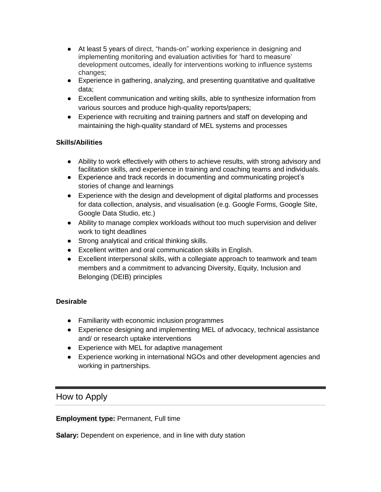- At least 5 years of direct, "hands-on" working experience in designing and implementing monitoring and evaluation activities for 'hard to measure' development outcomes, ideally for interventions working to influence systems changes;
- Experience in gathering, analyzing, and presenting quantitative and qualitative data;
- Excellent communication and writing skills, able to synthesize information from various sources and produce high-quality reports/papers;
- Experience with recruiting and training partners and staff on developing and maintaining the high-quality standard of MEL systems and processes

### **Skills/Abilities**

- Ability to work effectively with others to achieve results, with strong advisory and facilitation skills, and experience in training and coaching teams and individuals.
- Experience and track records in documenting and communicating project's stories of change and learnings
- Experience with the design and development of digital platforms and processes for data collection, analysis, and visualisation (e.g. Google Forms, Google Site, Google Data Studio, etc.)
- Ability to manage complex workloads without too much supervision and deliver work to tight deadlines
- Strong analytical and critical thinking skills.
- Excellent written and oral communication skills in English.
- Excellent interpersonal skills, with a collegiate approach to teamwork and team members and a commitment to advancing Diversity, Equity, Inclusion and Belonging (DEIB) principles

### **Desirable**

- Familiarity with economic inclusion programmes
- Experience designing and implementing MEL of advocacy, technical assistance and/ or research uptake interventions
- Experience with MEL for adaptive management
- Experience working in international NGOs and other development agencies and working in partnerships.

# How to Apply

**Employment type:** Permanent, Full time

**Salary:** Dependent on experience, and in line with duty station